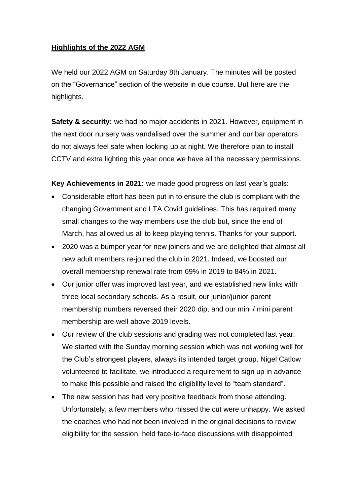## **Highlights of the 2022 AGM**

We held our 2022 AGM on Saturday 8th January. The minutes will be posted on the "Governance" section of the website in due course. But here are the highlights.

**Safety & security:** we had no major accidents in 2021. However, equipment in the next door nursery was vandalised over the summer and our bar operators do not always feel safe when locking up at night. We therefore plan to install CCTV and extra lighting this year once we have all the necessary permissions.

**Key Achievements in 2021:** we made good progress on last year's goals:

- Considerable effort has been put in to ensure the club is compliant with the changing Government and LTA Covid guidelines. This has required many small changes to the way members use the club but, since the end of March, has allowed us all to keep playing tennis. Thanks for your support.
- 2020 was a bumper year for new joiners and we are delighted that almost all new adult members re-joined the club in 2021. Indeed, we boosted our overall membership renewal rate from 69% in 2019 to 84% in 2021.
- Our junior offer was improved last year, and we established new links with three local secondary schools. As a result, our junior/junior parent membership numbers reversed their 2020 dip, and our mini / mini parent membership are well above 2019 levels.
- Our review of the club sessions and grading was not completed last year. We started with the Sunday morning session which was not working well for the Club's strongest players, always its intended target group. Nigel Catlow volunteered to facilitate, we introduced a requirement to sign up in advance to make this possible and raised the eligibility level to "team standard".
- The new session has had very positive feedback from those attending. Unfortunately, a few members who missed the cut were unhappy. We asked the coaches who had not been involved in the original decisions to review eligibility for the session, held face-to-face discussions with disappointed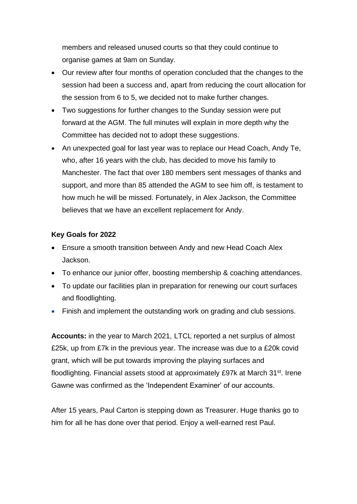members and released unused courts so that they could continue to organise games at 9am on Sunday.

- Our review after four months of operation concluded that the changes to the session had been a success and, apart from reducing the court allocation for the session from 6 to 5, we decided not to make further changes.
- Two suggestions for further changes to the Sunday session were put forward at the AGM. The full minutes will explain in more depth why the Committee has decided not to adopt these suggestions.
- An unexpected goal for last year was to replace our Head Coach, Andy Te, who, after 16 years with the club, has decided to move his family to Manchester. The fact that over 180 members sent messages of thanks and support, and more than 85 attended the AGM to see him off, is testament to how much he will be missed. Fortunately, in Alex Jackson, the Committee believes that we have an excellent replacement for Andy.

## **Key Goals for 2022**

- Ensure a smooth transition between Andy and new Head Coach Alex Jackson.
- To enhance our junior offer, boosting membership & coaching attendances.
- To update our facilities plan in preparation for renewing our court surfaces and floodlighting.
- Finish and implement the outstanding work on grading and club sessions.

**Accounts:** in the year to March 2021, LTCL reported a net surplus of almost £25k, up from £7k in the previous year. The increase was due to a £20k covid grant, which will be put towards improving the playing surfaces and floodlighting. Financial assets stood at approximately £97k at March 31<sup>st</sup>. Irene Gawne was confirmed as the 'Independent Examiner' of our accounts.

After 15 years, Paul Carton is stepping down as Treasurer. Huge thanks go to him for all he has done over that period. Enjoy a well-earned rest Paul.